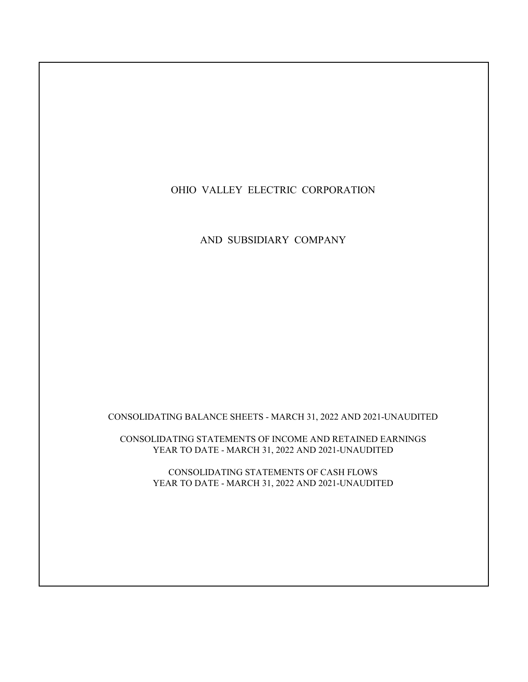# OHIO VALLEY ELECTRIC CORPORATION

AND SUBSIDIARY COMPANY

CONSOLIDATING BALANCE SHEETS - MARCH 31, 2022 AND 2021-UNAUDITED

CONSOLIDATING STATEMENTS OF INCOME AND RETAINED EARNINGS YEAR TO DATE - MARCH 31, 2022 AND 2021-UNAUDITED

> CONSOLIDATING STATEMENTS OF CASH FLOWS YEAR TO DATE - MARCH 31, 2022 AND 2021-UNAUDITED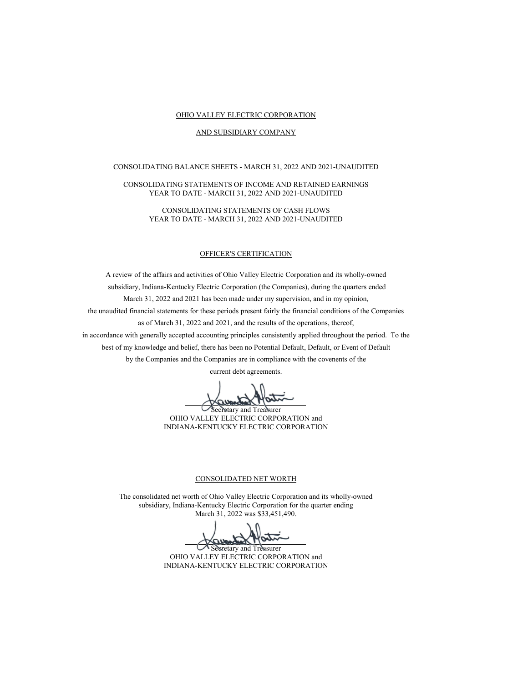## OHIO VALLEY ELECTRIC CORPORATION

## AND SUBSIDIARY COMPANY

# CONSOLIDATING BALANCE SHEETS - MARCH 31, 2022 AND 2021-UNAUDITED

## CONSOLIDATING STATEMENTS OF INCOME AND RETAINED EARNINGS YEAR TO DATE - MARCH 31, 2022 AND 2021-UNAUDITED

CONSOLIDATING STATEMENTS OF CASH FLOWS YEAR TO DATE - MARCH 31, 2022 AND 2021-UNAUDITED

## OFFICER'S CERTIFICATION

A review of the affairs and activities of Ohio Valley Electric Corporation and its wholly-owned subsidiary, Indiana-Kentucky Electric Corporation (the Companies), during the quarters ended March 31, 2022 and 2021 has been made under my supervision, and in my opinion, the unaudited financial statements for these periods present fairly the financial conditions of the Companies as of March 31, 2022 and 2021, and the results of the operations, thereof, in accordance with generally accepted accounting principles consistently applied throughout the period. To the best of my knowledge and belief, there has been no Potential Default, Default, or Event of Default

by the Companies and the Companies are in compliance with the covenents of the current debt agreements.

Secretary and Treasurer OHIO VALLEY ELECTRIC CORPORATION and INDIANA-KENTUCKY ELECTRIC CORPORATION

#### CONSOLIDATED NET WORTH

The consolidated net worth of Ohio Valley Electric Corporation and its wholly-owned subsidiary, Indiana-Kentucky Electric Corporation for the quarter ending March 31, 2022 was \$33,451,490.

Secretary and Treasurer OHIO VALLEY ELECTRIC CORPORATION and INDIANA-KENTUCKY ELECTRIC CORPORATION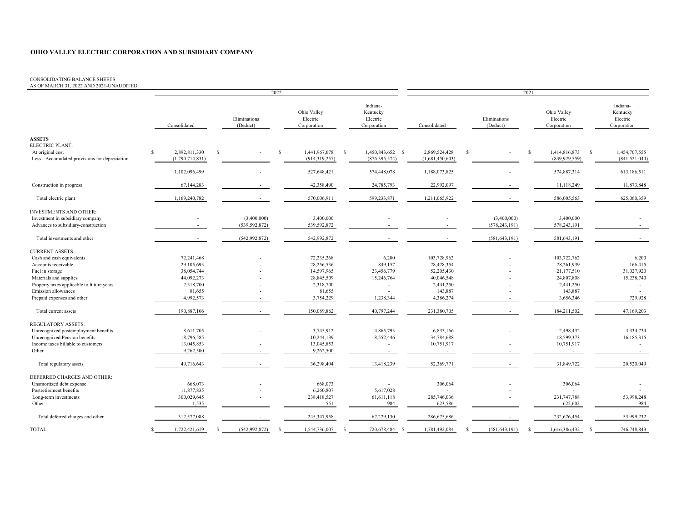#### CONSOLIDATING BALANCE SHEETS

AS OF MARCH 31, 2022 AND 2021-UNAUDITED

|                                                |                                |                          | 2022                                   |                                                 |                          | 2021                     |                                        |                                                 |  |  |  |  |
|------------------------------------------------|--------------------------------|--------------------------|----------------------------------------|-------------------------------------------------|--------------------------|--------------------------|----------------------------------------|-------------------------------------------------|--|--|--|--|
|                                                | Consolidated                   | Eliminations<br>(Deduct) | Ohio Valley<br>Electric<br>Corporation | Indiana-<br>Kentucky<br>Electric<br>Corporation | Consolidated             | Eliminations<br>(Deduct) | Ohio Valley<br>Electric<br>Corporation | Indiana-<br>Kentucky<br>Electric<br>Corporation |  |  |  |  |
| <b>ASSETS</b><br>ELECTRIC PLANT:               |                                |                          |                                        |                                                 |                          |                          |                                        |                                                 |  |  |  |  |
| At original cost                               | 2,892,811,330<br><sup>\$</sup> | -S                       | <sup>\$</sup><br>1,441,967,678         | 1,450,843,652 \$<br>$\mathbf{s}$                | 2,869,524,428            | S                        | $\mathbb{S}$<br>1,414,816,873          | - S<br>1,454,707,555                            |  |  |  |  |
| Less - Accumulated provisions for depreciation | (1,790,714,831)                |                          | (914, 319, 257)                        | (876, 395, 574)                                 | (1,681,450,603)          |                          | (839, 929, 559)                        | (841, 521, 044)                                 |  |  |  |  |
|                                                | 1,102,096,499                  |                          | 527,648,421                            | 574,448,078                                     | 1,188,073,825            |                          | 574,887,314                            | 613,186,511                                     |  |  |  |  |
| Construction in progress                       | 67,144,283                     |                          | 42,358,490                             | 24,785,793                                      | 22,992,097               |                          | 11,118,249                             | 11,873,848                                      |  |  |  |  |
| Total electric plant                           | 1,169,240,782                  |                          | 570,006,911                            | 599,233,871                                     | 1,211,065,922            |                          | 586,005,563                            | 625,060,359                                     |  |  |  |  |
| <b>INVESTMENTS AND OTHER:</b>                  |                                |                          |                                        |                                                 |                          |                          |                                        |                                                 |  |  |  |  |
| Investment in subsidiary company               |                                | (3,400,000)              | 3,400,000                              |                                                 |                          | (3,400,000)              | 3,400,000                              |                                                 |  |  |  |  |
| Advances to subsidiary-construction            |                                | (539, 592, 872)          | 539,592,872                            |                                                 |                          | (578, 243, 191)          | 578,243,191                            |                                                 |  |  |  |  |
| Total investments and other                    | $\sim$                         | (542, 992, 872)          | 542,992,872                            |                                                 | $\overline{\phantom{a}}$ | (581, 643, 191)          | 581,643,191                            | $\sim$                                          |  |  |  |  |
| <b>CURRENT ASSETS:</b>                         |                                |                          |                                        |                                                 |                          |                          |                                        |                                                 |  |  |  |  |
| Cash and cash equivalents                      | 72,241,468                     |                          | 72,235,268                             | 6,200                                           | 103,728,962              |                          | 103,722,762                            | 6,200                                           |  |  |  |  |
| Accounts receivable                            | 29,105,693                     |                          | 28,256,536                             | 849,157                                         | 28,428,354               |                          | 28,261,939                             | 166,415                                         |  |  |  |  |
| Fuel in storage                                | 38,054,744                     |                          | 14,597,965                             | 23,456,779                                      | 52,205,430               |                          | 21,177,510                             | 31,027,920                                      |  |  |  |  |
| Materials and supplies                         | 44,092,273                     |                          | 28,845,509                             | 15,246,764                                      | 40,046,548               |                          | 24,807,808                             | 15,238,740                                      |  |  |  |  |
| Property taxes applicable to future years      | 2,318,700                      |                          | 2,318,700                              | $\overline{a}$                                  | 2,441,250                |                          | 2,441,250                              |                                                 |  |  |  |  |
| Emission allowances                            | 81,655                         |                          | 81,655                                 |                                                 | 143,887                  |                          | 143,887                                |                                                 |  |  |  |  |
| Prepaid expenses and other                     | 4,992,573                      |                          | 3,754,229                              | 1,238,344                                       | 4,386,274                |                          | 3,656,346                              | 729,928                                         |  |  |  |  |
| Total current assets                           | 190,887,106                    |                          | 150,089,862                            | 40,797,244                                      | 231,380,705              |                          | 184,211,502                            | 47,169,203                                      |  |  |  |  |
| <b>REGULATORY ASSETS:</b>                      |                                |                          |                                        |                                                 |                          |                          |                                        |                                                 |  |  |  |  |
| Unrecognized postemployment benefits           | 8,611,705                      |                          | 3,745,912                              | 4,865,793                                       | 6,833,166                |                          | 2,498,432                              | 4,334,734                                       |  |  |  |  |
| Unrecognized Pension benefits                  | 18,796,585                     |                          | 10,244,139                             | 8,552,446                                       | 34,784,688               |                          | 18,599,373                             | 16,185,315                                      |  |  |  |  |
| Income taxes billable to customers             | 13,045,853                     |                          | 13,045,853                             | $\sim$                                          | 10,751,917               |                          | 10,751,917                             |                                                 |  |  |  |  |
| Other                                          | 9,262,500                      |                          | 9,262,500                              |                                                 | $\sim$                   |                          | $\sim$                                 | $\sim$                                          |  |  |  |  |
| Total regulatory assets                        | 49,716,643                     |                          | 36,298,404                             | 13,418,239                                      | 52,369,771               | $\sim$                   | 31,849,722                             | 20,520,049                                      |  |  |  |  |
| DEFERRED CHARGES AND OTHER:                    |                                |                          |                                        |                                                 |                          |                          |                                        |                                                 |  |  |  |  |
| Unamortized debt expense                       | 668,073                        |                          | 668,073                                |                                                 | 306,064                  |                          | 306,064                                |                                                 |  |  |  |  |
| Postretirement benefits                        | 11,877,835                     |                          | 6,260,807                              | 5,617,028                                       |                          |                          |                                        |                                                 |  |  |  |  |
| Long-term investments                          | 300,029,645                    |                          | 238,418,527                            | 61,611,118                                      | 285,746,036              |                          | 231,747,788                            | 53,998,248                                      |  |  |  |  |
| Other                                          | 1,535                          |                          | 551                                    | 984                                             | 623,586                  | $\overline{a}$           | 622,602                                | 984                                             |  |  |  |  |
| Total deferred charges and other               | 312,577,088                    |                          | 245,347,958                            | 67,229,130                                      | 286,675,686              | $\overline{\phantom{a}}$ | 232,676,454                            | 53,999,232                                      |  |  |  |  |
| <b>TOTAL</b>                                   | 1,722,421,619                  | (542, 992, 872)          | 1,544,736,007<br>S                     | 720,678,484<br>S                                | 1,781,492,084<br>-S      | (581, 643, 191)          | 1,616,386,432<br>-S                    | 746,748,843<br>-S                               |  |  |  |  |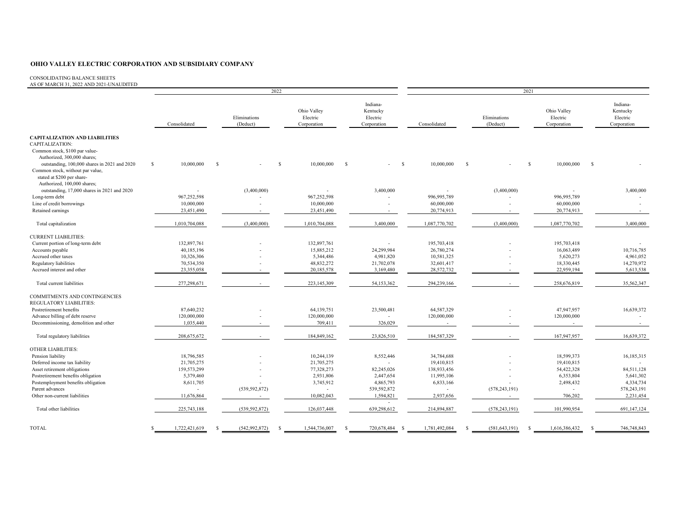#### CONSOLIDATING BALANCE SHEETS

AS OF MARCH 31, 2022 AND 2021-UNAUDITED

|                                                                                               |              | 2022          |     |                          |              |                                        |               |                                                 |          | 2021          |              |                          |   |                                        |              |                                                 |
|-----------------------------------------------------------------------------------------------|--------------|---------------|-----|--------------------------|--------------|----------------------------------------|---------------|-------------------------------------------------|----------|---------------|--------------|--------------------------|---|----------------------------------------|--------------|-------------------------------------------------|
|                                                                                               |              | Consolidated  |     | Eliminations<br>(Deduct) |              | Ohio Valley<br>Electric<br>Corporation |               | Indiana-<br>Kentucky<br>Electric<br>Corporation |          | Consolidated  |              | Eliminations<br>(Deduct) |   | Ohio Valley<br>Electric<br>Corporation |              | Indiana-<br>Kentucky<br>Electric<br>Corporation |
| <b>CAPITALIZATION AND LIABILITIES</b><br>CAPITALIZATION:                                      |              |               |     |                          |              |                                        |               |                                                 |          |               |              |                          |   |                                        |              |                                                 |
| Common stock, \$100 par value-                                                                |              |               |     |                          |              |                                        |               |                                                 |          |               |              |                          |   |                                        |              |                                                 |
| Authorized, 300,000 shares;<br>outstanding, 100,000 shares in 2021 and 2020                   | $\mathbb{S}$ | 10,000,000    | - S |                          | <sup>S</sup> | 10,000,000                             | <sup>\$</sup> |                                                 | <b>S</b> | 10,000,000    | <sup>S</sup> |                          | S | 10,000,000                             | $\mathbf{s}$ |                                                 |
| Common stock, without par value,<br>stated at \$200 per share-<br>Authorized, 100,000 shares: |              |               |     |                          |              |                                        |               |                                                 |          |               |              |                          |   |                                        |              |                                                 |
| outstanding, 17,000 shares in 2021 and 2020                                                   |              |               |     | (3,400,000)              |              |                                        |               | 3,400,000                                       |          |               |              | (3,400,000)              |   |                                        |              | 3,400,000                                       |
| Long-term debt                                                                                |              | 967,252,598   |     |                          |              | 967.252.598                            |               |                                                 |          | 996,995,789   |              |                          |   | 996,995,789                            |              |                                                 |
| Line of credit borrowings                                                                     |              | 10,000,000    |     |                          |              | 10,000,000                             |               |                                                 |          | 60,000,000    |              |                          |   | 60,000,000                             |              | $\overline{a}$                                  |
| Retained earnings                                                                             |              | 23,451,490    |     | $\sim$                   |              | 23,451,490                             |               | $\overline{\phantom{a}}$                        |          | 20,774,913    |              | $\sim$                   |   | 20,774,913                             |              | $\sim$                                          |
| Total capitalization                                                                          |              | 1,010,704,088 |     | (3,400,000)              |              | 1,010,704,088                          |               | 3,400,000                                       |          | 1,087,770,702 |              | (3,400,000)              |   | 1,087,770,702                          |              | 3,400,000                                       |
| <b>CURRENT LIABILITIES:</b>                                                                   |              |               |     |                          |              |                                        |               |                                                 |          |               |              |                          |   |                                        |              |                                                 |
| Current portion of long-term debt                                                             |              | 132,897,761   |     |                          |              | 132,897,761                            |               |                                                 |          | 195,703,418   |              |                          |   | 195,703,418                            |              |                                                 |
| Accounts payable                                                                              |              | 40,185,196    |     |                          |              | 15,885,212                             |               | 24,299,984                                      |          | 26,780,274    |              |                          |   | 16,063,489                             |              | 10,716,785                                      |
| Accrued other taxes                                                                           |              | 10,326,306    |     |                          |              | 5,344,486                              |               | 4,981,820                                       |          | 10,581,325    |              |                          |   | 5,620,273                              |              | 4,961,052                                       |
| Regulatory liabilities                                                                        |              | 70,534,350    |     |                          |              | 48,832,272                             |               | 21,702,078                                      |          | 32,601,417    |              |                          |   | 18,330,445                             |              | 14,270,972                                      |
| Accrued interest and other                                                                    |              | 23,355,058    |     |                          |              | 20,185,578                             |               | 3,169,480                                       |          | 28,572,732    |              |                          |   | 22,959,194                             |              | 5,613,538                                       |
| Total current liabilities                                                                     |              | 277,298,671   |     |                          |              | 223,145,309                            |               | 54,153,362                                      |          | 294,239,166   |              | $\sim$                   |   | 258,676,819                            |              | 35,562,347                                      |
| COMMITMENTS AND CONTINGENCIES                                                                 |              |               |     |                          |              |                                        |               |                                                 |          |               |              |                          |   |                                        |              |                                                 |
| REGULATORY LIABILITIES:                                                                       |              |               |     |                          |              |                                        |               |                                                 |          |               |              |                          |   |                                        |              |                                                 |
| Postretirement benefits                                                                       |              | 87,640,232    |     |                          |              | 64,139,751                             |               | 23,500,481                                      |          | 64,587,329    |              |                          |   | 47,947,957                             |              | 16,639,372                                      |
| Advance billing of debt reserve                                                               |              | 120,000,000   |     |                          |              | 120,000,000                            |               | $\overline{\phantom{a}}$                        |          | 120,000,000   |              |                          |   | 120,000,000                            |              | $\sim$                                          |
| Decommissioning, demolition and other                                                         |              | 1,035,440     |     |                          |              | 709,411                                |               | 326,029                                         |          | $\sim$        |              |                          |   |                                        |              |                                                 |
| Total regulatory liabilities                                                                  |              | 208, 675, 672 |     |                          |              | 184,849,162                            |               | 23,826,510                                      |          | 184,587,329   |              |                          |   | 167,947,957                            |              | 16,639,372                                      |
| OTHER LIABILITIES:                                                                            |              |               |     |                          |              |                                        |               |                                                 |          |               |              |                          |   |                                        |              |                                                 |
| Pension liability                                                                             |              | 18,796,585    |     |                          |              | 10,244,139                             |               | 8,552,446                                       |          | 34,784,688    |              |                          |   | 18,599,373                             |              | 16,185,315                                      |
| Deferred income tax liability                                                                 |              | 21,705,275    |     |                          |              | 21,705,275                             |               |                                                 |          | 19,410,815    |              |                          |   | 19,410,815                             |              |                                                 |
| Asset retirement obligations                                                                  |              | 159,573,299   |     |                          |              | 77,328,273                             |               | 82,245,026                                      |          | 138,933,456   |              |                          |   | 54,422,328                             |              | 84,511,128                                      |
| Postretirement benefits obligation                                                            |              | 5,379,460     |     | $\sim$                   |              | 2,931,806                              |               | 2,447,654                                       |          | 11,995,106    |              |                          |   | 6,353,804                              |              | 5,641,302                                       |
| Postemployment benefits obligation                                                            |              | 8,611,705     |     |                          |              | 3,745,912                              |               | 4,865,793                                       |          | 6,833,166     |              |                          |   | 2,498,432                              |              | 4,334,734                                       |
| Parent advances                                                                               |              | $\sim$        |     | (539, 592, 872)          |              | $\sim$                                 |               | 539,592,872                                     |          | $\sim$        |              | (578, 243, 191)          |   | ٠                                      |              | 578,243,191                                     |
| Other non-current liabilities                                                                 |              | 11,676,864    |     | $\sim$                   |              | 10,082,043                             |               | 1,594,821                                       |          | 2,937,656     |              | $\sim$                   |   | 706,202                                |              | 2,231,454                                       |
| Total other liabilities                                                                       |              | 225,743,188   |     | (539, 592, 872)          |              | 126,037,448                            |               | 639,298,612                                     |          | 214,894,887   |              | (578, 243, 191)          |   | 101,990,954                            |              | 691,147,124                                     |
| <b>TOTAL</b>                                                                                  | \$.          | 1,722,421,619 |     | (542, 992, 872)          |              | 1,544,736,007                          |               | 720,678,484 \$                                  |          | 1,781,492,084 |              | (581, 643, 191)          |   | 1,616,386,432                          |              | 746,748,843                                     |
|                                                                                               |              |               |     |                          |              |                                        |               |                                                 |          |               |              |                          |   |                                        |              |                                                 |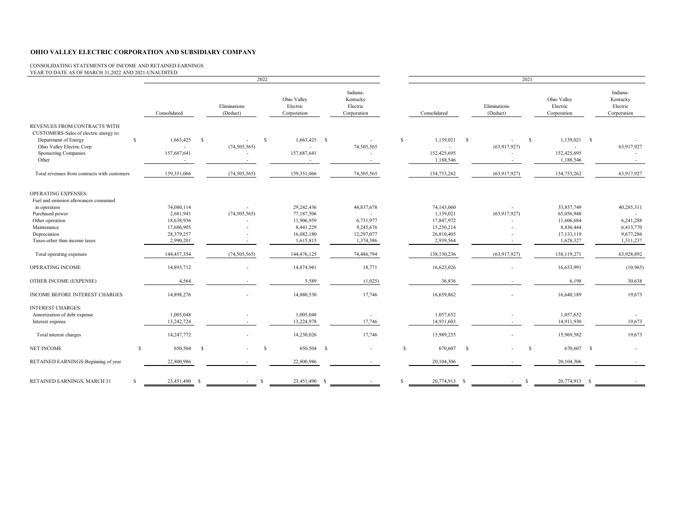CONSOLIDATING STATEMENTS OF INCOME AND RETAINED EARNINGS

| YEAR TO DATE AS OF MARCH 31,2022 AND 2021-UNAUDITED                                                                                                                                |              |                                                                                |              |                          | 2022          |                                                                                |    |                                                                                             |              |                                                                                |    |                                                                      | 2021 |                                                                                |    |                                                                |
|------------------------------------------------------------------------------------------------------------------------------------------------------------------------------------|--------------|--------------------------------------------------------------------------------|--------------|--------------------------|---------------|--------------------------------------------------------------------------------|----|---------------------------------------------------------------------------------------------|--------------|--------------------------------------------------------------------------------|----|----------------------------------------------------------------------|------|--------------------------------------------------------------------------------|----|----------------------------------------------------------------|
|                                                                                                                                                                                    |              | Consolidated                                                                   |              | Eliminations<br>(Deduct) |               | Ohio Valley<br>Electric<br>Corporation                                         |    | Indiana-<br>Kentucky<br>Electric<br>Corporation                                             |              | Consolidated                                                                   |    | Eliminations<br>(Deduct)                                             |      | Ohio Valley<br>Electric<br>Corporation                                         |    | Indiana-<br>Kentucky<br>Electric<br>Corporation                |
| REVENUES FROM CONTRACTS WITH<br>CUSTOMERS-Sales of electric energy to:<br>Department of Energy<br>Ohio Valley Electric Corp.<br>Sponsoring Companies<br>Other                      | $\mathbb{S}$ | 1,663,425<br>157,687,641                                                       | -S           | (74, 505, 565)           | s.            | $1,663,425$ \$<br>$\overline{\phantom{a}}$<br>157,687,641                      |    | 74,505,565                                                                                  | $\mathbb{S}$ | 1,139,021<br>$\overline{\phantom{a}}$<br>152,425,695<br>1,188,546              | -S | $\overline{\phantom{a}}$<br>(63,917,927)                             | S    | 1,139,021 \$<br>$\sim$<br>152,425,695<br>1,188,546                             |    | 63,917,927                                                     |
| Total revenues from contracts with customers                                                                                                                                       |              | 159,351,066                                                                    |              | (74, 505, 565)           |               | 159,351,066                                                                    |    | 74,505,565                                                                                  |              | 154,753,262                                                                    |    | (63,917,927)                                                         |      | 154,753,262                                                                    |    | 63,917,927                                                     |
| OPERATING EXPENSES:<br>Fuel and emission allowances consumed<br>in operation<br>Purchased power<br>Other operation<br>Maintenance<br>Depreciation<br>Taxes-other than income taxes |              | 74,080,114<br>2,681,941<br>18,638,936<br>17,686,905<br>28,379,257<br>2,990,201 |              | (74, 505, 565)           |               | 29,242,436<br>77,187,506<br>11,906,959<br>8,441,229<br>16,082,180<br>1,615,815 |    | 44,837,678<br>$\overline{\phantom{a}}$<br>6,731,977<br>9,245,676<br>12,297,077<br>1,374,386 |              | 74,143,060<br>1,139,021<br>17,847,972<br>15,250,214<br>26,810,405<br>2,939,564 |    | $\overline{\phantom{a}}$<br>(63,917,927)<br>$\overline{\phantom{a}}$ |      | 33,857,749<br>65,056,948<br>11,606,684<br>8,836,444<br>17,133,119<br>1,628,327 |    | 40,285,311<br>6,241,288<br>6,413,770<br>9,677,286<br>1,311,237 |
| Total operating expenses                                                                                                                                                           |              | 144,457,354                                                                    |              | (74, 505, 565)           |               | 144,476,125                                                                    |    | 74,486,794                                                                                  |              | 138,130,236                                                                    |    | (63,917,927)                                                         |      | 138,119,271                                                                    |    | 63,928,892                                                     |
| OPERATING INCOME                                                                                                                                                                   |              | 14,893,712                                                                     |              |                          |               | 14,874,941                                                                     |    | 18,771                                                                                      |              | 16,623,026                                                                     |    |                                                                      |      | 16,633,991                                                                     |    | (10, 965)                                                      |
| OTHER INCOME (EXPENSE)                                                                                                                                                             |              | 4,564                                                                          |              |                          |               | 5,589                                                                          |    | (1,025)                                                                                     |              | 36,836                                                                         |    |                                                                      |      | 6,198                                                                          |    | 30,638                                                         |
| INCOME BEFORE INTEREST CHARGES                                                                                                                                                     |              | 14,898,276                                                                     |              |                          |               | 14,880,530                                                                     |    | 17,746                                                                                      |              | 16,659,862                                                                     |    |                                                                      |      | 16,640,189                                                                     |    | 19,673                                                         |
| <b>INTEREST CHARGES:</b><br>Amortization of debt expense<br>Interest expense                                                                                                       |              | 1,005,048<br>13,242,724                                                        |              | $\sim$                   |               | 1,005,048<br>13,224,978                                                        |    | 17,746                                                                                      |              | 1,057,652<br>14,931,603                                                        |    | $\overline{\phantom{a}}$                                             |      | 1,057,652<br>14,911,930                                                        |    | 19,673                                                         |
| Total interest charges                                                                                                                                                             |              | 14,247,772                                                                     |              |                          |               | 14,230,026                                                                     |    | 17,746                                                                                      |              | 15,989,255                                                                     |    |                                                                      |      | 15,969,582                                                                     |    | 19,673                                                         |
| <b>NET INCOME</b>                                                                                                                                                                  | \$           | 650,504                                                                        | $\mathbf{s}$ |                          | <sup>\$</sup> | 650,504                                                                        | -S |                                                                                             | $\mathbb{S}$ | 670,607                                                                        | -S |                                                                      | S    | 670,607                                                                        | -S | $\sim$                                                         |
| RETAINED EARNINGS-Beginning of year                                                                                                                                                |              | 22,800,986                                                                     |              |                          |               | 22,800,986                                                                     |    |                                                                                             |              | 20,104,306                                                                     |    |                                                                      |      | 20,104,306                                                                     |    |                                                                |
| RETAINED EARNINGS, MARCH 31                                                                                                                                                        | S.           | 23,451,490 \$                                                                  |              |                          | -S            | 23,451,490 \$                                                                  |    |                                                                                             | \$           | 20,774,913 \$                                                                  |    |                                                                      | S    | 20,774,913 \$                                                                  |    |                                                                |